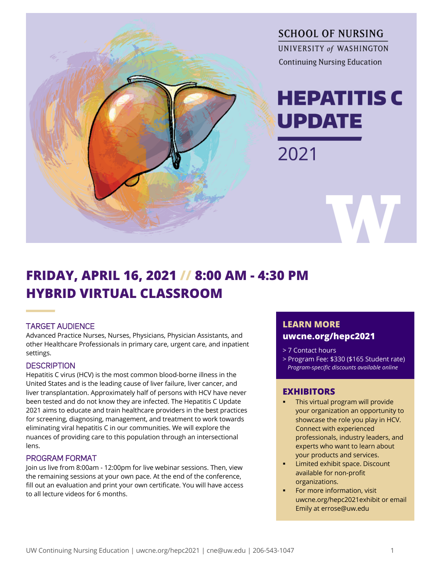

## **FRIDAY, APRIL 16, 2021 // 8:00 AM - 4:30 PM HYBRID VIRTUAL CLASSROOM**

### TARGET AUDIENCE

Advanced Practice Nurses, Nurses, Physicians, Physician Assistants, and other Healthcare Professionals in primary care, urgent care, and inpatient settings.

#### **DESCRIPTION**

Hepatitis C virus (HCV) is the most common blood-borne illness in the United States and is the leading cause of liver failure, liver cancer, and liver transplantation. Approximately half of persons with HCV have never been tested and do not know they are infected. The Hepatitis C Update 2021 aims to educate and train healthcare providers in the best practices for screening, diagnosing, management, and treatment to work towards eliminating viral hepatitis C in our communities. We will explore the nuances of providing care to this population through an intersectional lens.

#### PROGRAM FORMAT

Join us live from 8:00am - 12:00pm for live webinar sessions. Then, view the remaining sessions at your own pace. At the end of the conference, fill out an evaluation and print your own certificate. You will have access to all lecture videos for 6 months.

## **LEARN MORE uwcne.org/hepc2021**

- > 7 Contact hours
- > Program Fee: \$330 (\$165 Student rate)  *Program-specific discounts available online*

### **EXHIBITORS**

- § This virtual program will provide your organization an opportunity to showcase the role you play in HCV. Connect with experienced professionals, industry leaders, and experts who want to learn about your products and services.
- § Limited exhibit space. Discount available for non-profit organizations.
- For more information, visit uwcne.org/hepc2021exhibit or email Emily at errose@uw.edu